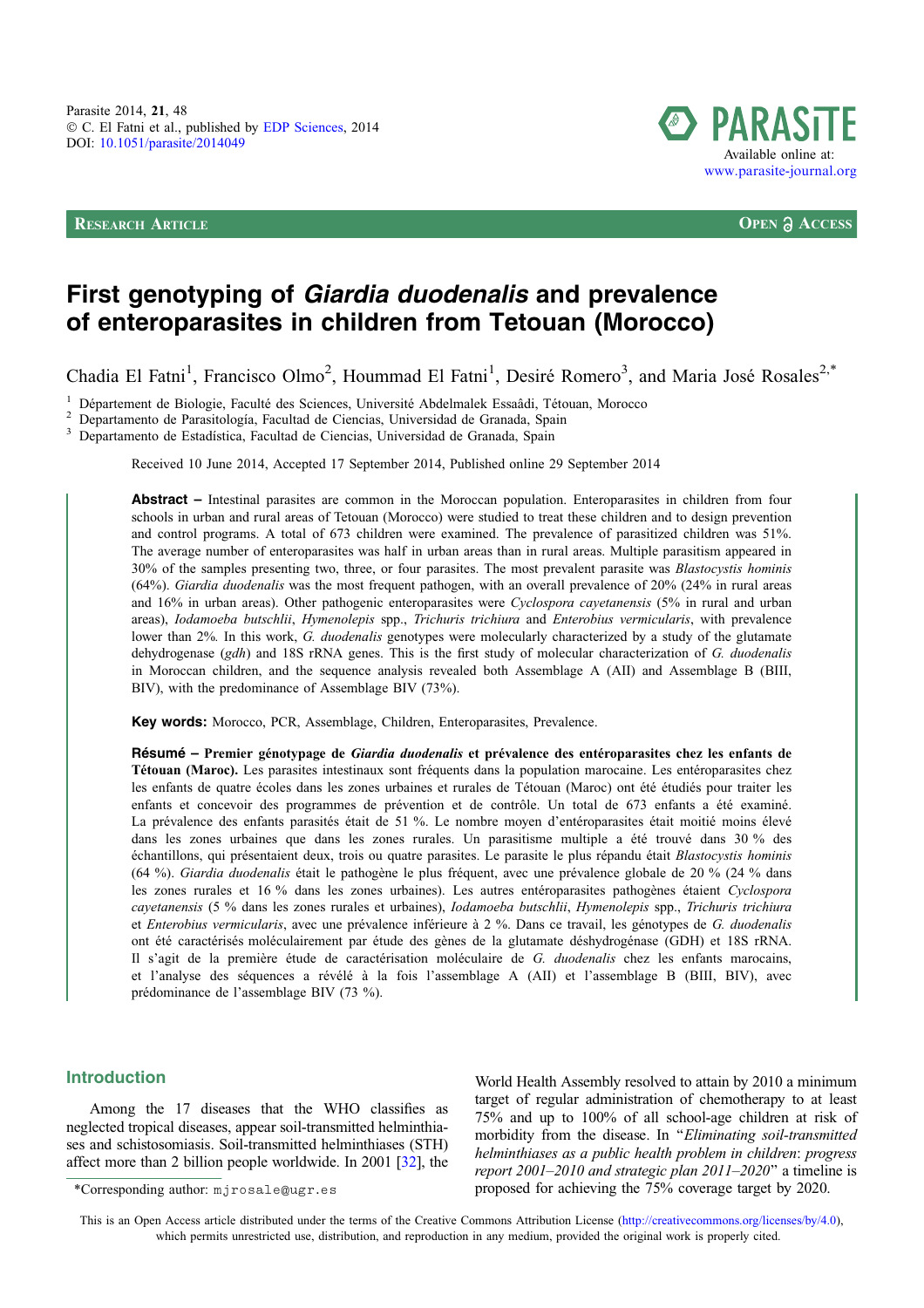RESEARCH ARTICLE **OPEN ACCESS**



# First genotyping of Giardia duodenalis and prevalence of enteroparasites in children from Tetouan (Morocco)

Chadia El Fatni<sup>1</sup>, Francisco Olmo<sup>2</sup>, Hoummad El Fatni<sup>1</sup>, Desiré Romero<sup>3</sup>, and Maria José Rosales<sup>2,\*</sup>

1 Département de Biologie, Faculté des Sciences, Université Abdelmalek Essaâdi, Tétouan, Morocco  $2$  Departamento de Parasitología, Facultad de Ciencias, Universidad de Granada, Spain<br>3 Departamento de Estadística, Facult

Received 10 June 2014, Accepted 17 September 2014, Published online 29 September 2014

Abstract – Intestinal parasites are common in the Moroccan population. Enteroparasites in children from four schools in urban and rural areas of Tetouan (Morocco) were studied to treat these children and to design prevention and control programs. A total of 673 children were examined. The prevalence of parasitized children was 51%. The average number of enteroparasites was half in urban areas than in rural areas. Multiple parasitism appeared in 30% of the samples presenting two, three, or four parasites. The most prevalent parasite was Blastocystis hominis (64%). Giardia duodenalis was the most frequent pathogen, with an overall prevalence of 20% (24% in rural areas and 16% in urban areas). Other pathogenic enteroparasites were Cyclospora cayetanensis (5% in rural and urban areas), Iodamoeba butschlii, Hymenolepis spp., Trichuris trichiura and Enterobius vermicularis, with prevalence lower than 2%. In this work, G. duodenalis genotypes were molecularly characterized by a study of the glutamate dehydrogenase (gdh) and 18S rRNA genes. This is the first study of molecular characterization of G. duodenalis in Moroccan children, and the sequence analysis revealed both Assemblage A (AII) and Assemblage B (BIII, BIV), with the predominance of Assemblage BIV (73%).

Key words: Morocco, PCR, Assemblage, Children, Enteroparasites, Prevalence.

Résumé – Premier génotypage de *Giardia duodenalis* et prévalence des entéroparasites chez les enfants de Tétouan (Maroc). Les parasites intestinaux sont fréquents dans la population marocaine. Les entéroparasites chez les enfants de quatre écoles dans les zones urbaines et rurales de Tétouan (Maroc) ont été étudiés pour traiter les enfants et concevoir des programmes de prévention et de contrôle. Un total de 673 enfants a été examiné. La prévalence des enfants parasités était de 51 %. Le nombre moyen d'entéroparasites était moitié moins élevé dans les zones urbaines que dans les zones rurales. Un parasitisme multiple a été trouvé dans 30 % des échantillons, qui présentaient deux, trois ou quatre parasites. Le parasite le plus répandu était Blastocystis hominis (64 %). Giardia duodenalis était le pathogène le plus fréquent, avec une prévalence globale de 20 % (24 % dans les zones rurales et 16 % dans les zones urbaines). Les autres entéroparasites pathogènes étaient Cyclospora cayetanensis (5 % dans les zones rurales et urbaines), Iodamoeba butschlii, Hymenolepis spp., Trichuris trichiura et Enterobius vermicularis, avec une prévalence inférieure à 2 %. Dans ce travail, les génotypes de G. duodenalis ont été caractérisés moléculairement par étude des gènes de la glutamate déshydrogénase (GDH) et 18S rRNA. Il s'agit de la première étude de caractérisation moléculaire de G. duodenalis chez les enfants marocains, et l'analyse des séquences a révélé à la fois l'assemblage A (AII) et l'assemblage B (BIII, BIV), avec prédominance de l'assemblage BIV (73 %).

## Introduction

Among the 17 diseases that the WHO classifies as neglected tropical diseases, appear soil-transmitted helminthiases and schistosomiasis. Soil-transmitted helminthiases (STH) affect more than 2 billion people worldwide. In 2001 [[32](#page-6-0)], the

World Health Assembly resolved to attain by 2010 a minimum target of regular administration of chemotherapy to at least 75% and up to 100% of all school-age children at risk of morbidity from the disease. In ''Eliminating soil-transmitted helminthiases as a public health problem in children: progress report 2001–2010 and strategic plan 2011–2020'' a timeline is \*Corresponding author: mjrosale@ugr.es proposed for achieving the 75% coverage target by 2020.

This is an Open Access article distributed under the terms of the Creative Commons Attribution License [\(http://creativecommons.org/licenses/by/4.0\),](http://creativecommons.org/licenses/by/4.0/) [which permits unrestricted use, distribution, and reproduction in any medium, provided the original work is properly cited.](http://creativecommons.org/licenses/by/4.0/)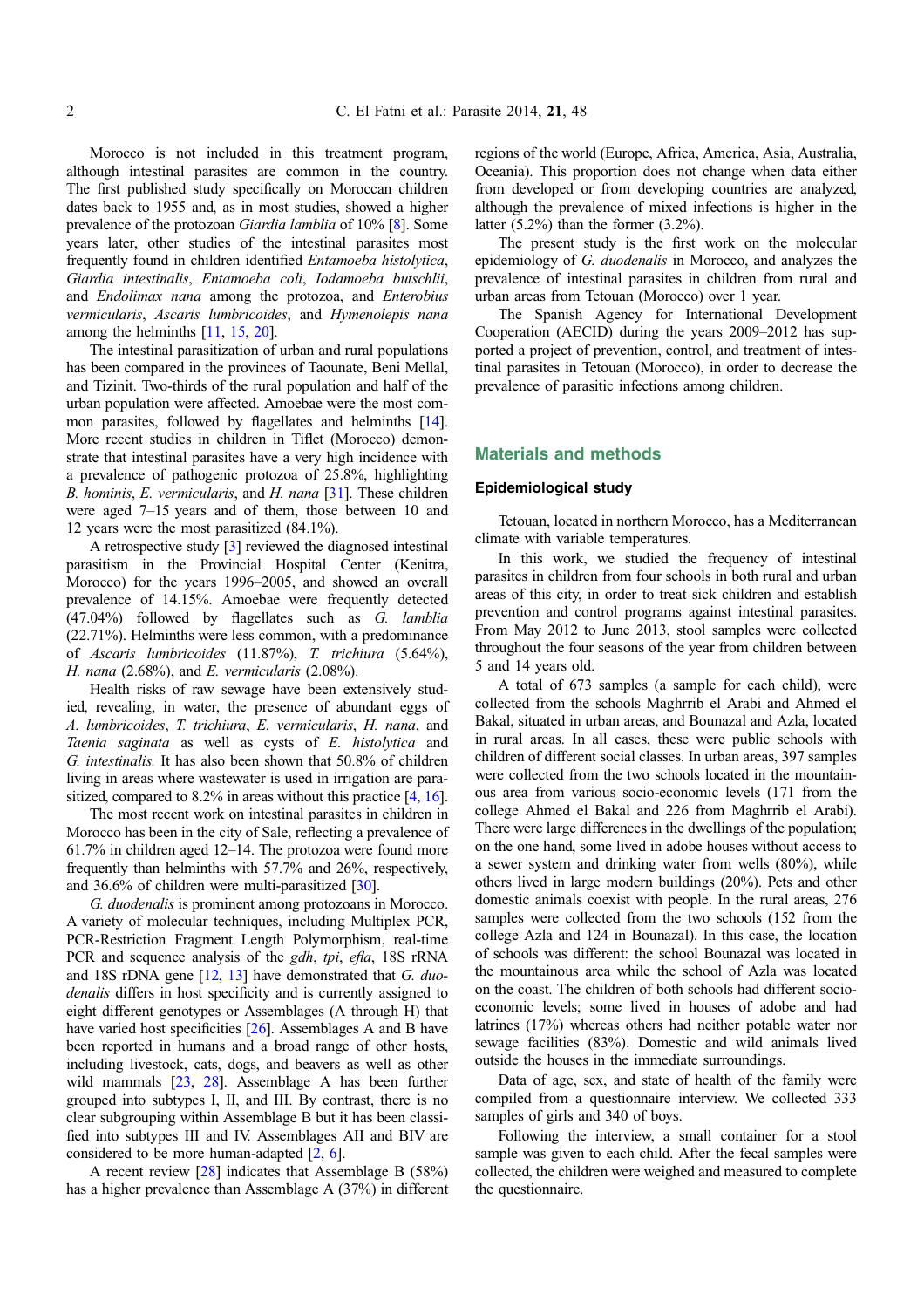Morocco is not included in this treatment program, although intestinal parasites are common in the country. The first published study specifically on Moroccan children dates back to 1955 and, as in most studies, showed a higher prevalence of the protozoan Giardia lamblia of 10% [\[8](#page-5-0)]. Some years later, other studies of the intestinal parasites most frequently found in children identified Entamoeba histolytica, Giardia intestinalis, Entamoeba coli, Iodamoeba butschlii, and Endolimax nana among the protozoa, and Enterobius vermicularis, Ascaris lumbricoides, and Hymenolepis nana among the helminths [\[11,](#page-5-0) [15](#page-5-0), [20\]](#page-5-0).

The intestinal parasitization of urban and rural populations has been compared in the provinces of Taounate, Beni Mellal, and Tizinit. Two-thirds of the rural population and half of the urban population were affected. Amoebae were the most common parasites, followed by flagellates and helminths [\[14](#page-5-0)]. More recent studies in children in Tiflet (Morocco) demonstrate that intestinal parasites have a very high incidence with a prevalence of pathogenic protozoa of 25.8%, highlighting B. hominis, E. vermicularis, and H. nana [\[31\]](#page-6-0). These children were aged 7–15 years and of them, those between 10 and 12 years were the most parasitized (84.1%).

A retrospective study [[3\]](#page-5-0) reviewed the diagnosed intestinal parasitism in the Provincial Hospital Center (Kenitra, Morocco) for the years 1996–2005, and showed an overall prevalence of 14.15%. Amoebae were frequently detected (47.04%) followed by flagellates such as G. lamblia (22.71%). Helminths were less common, with a predominance of Ascaris lumbricoides (11.87%), T. trichiura (5.64%), H. nana  $(2.68\%)$ , and E. vermicularis  $(2.08\%)$ .

Health risks of raw sewage have been extensively studied, revealing, in water, the presence of abundant eggs of A. lumbricoides, T. trichiura, E. vermicularis, H. nana, and Taenia saginata as well as cysts of E. histolytica and G. intestinalis. It has also been shown that 50.8% of children living in areas where wastewater is used in irrigation are parasitized, compared to 8.2% in areas without this practice [[4](#page-5-0), [16](#page-5-0)].

The most recent work on intestinal parasites in children in Morocco has been in the city of Sale, reflecting a prevalence of 61.7% in children aged 12–14. The protozoa were found more frequently than helminths with 57.7% and 26%, respectively, and 36.6% of children were multi-parasitized [[30](#page-6-0)].

G. duodenalis is prominent among protozoans in Morocco. A variety of molecular techniques, including Multiplex PCR, PCR-Restriction Fragment Length Polymorphism, real-time PCR and sequence analysis of the gdh, tpi, efla, 18S rRNA and 18S rDNA gene  $[12, 13]$  $[12, 13]$  $[12, 13]$  $[12, 13]$  have demonstrated that G. duodenalis differs in host specificity and is currently assigned to eight different genotypes or Assemblages (A through H) that have varied host specificities [\[26\]](#page-6-0). Assemblages A and B have been reported in humans and a broad range of other hosts, including livestock, cats, dogs, and beavers as well as other wild mammals [[23](#page-6-0), [28](#page-6-0)]. Assemblage A has been further grouped into subtypes I, II, and III. By contrast, there is no clear subgrouping within Assemblage B but it has been classified into subtypes III and IV. Assemblages AII and BIV are considered to be more human-adapted [\[2,](#page-5-0) [6](#page-5-0)].

A recent review [[28](#page-6-0)] indicates that Assemblage B (58%) has a higher prevalence than Assemblage A (37%) in different regions of the world (Europe, Africa, America, Asia, Australia, Oceania). This proportion does not change when data either from developed or from developing countries are analyzed, although the prevalence of mixed infections is higher in the latter  $(5.2\%)$  than the former  $(3.2\%)$ .

The present study is the first work on the molecular epidemiology of G. duodenalis in Morocco, and analyzes the prevalence of intestinal parasites in children from rural and urban areas from Tetouan (Morocco) over 1 year.

The Spanish Agency for International Development Cooperation (AECID) during the years 2009–2012 has supported a project of prevention, control, and treatment of intestinal parasites in Tetouan (Morocco), in order to decrease the prevalence of parasitic infections among children.

## Materials and methods

#### Epidemiological study

Tetouan, located in northern Morocco, has a Mediterranean climate with variable temperatures.

In this work, we studied the frequency of intestinal parasites in children from four schools in both rural and urban areas of this city, in order to treat sick children and establish prevention and control programs against intestinal parasites. From May 2012 to June 2013, stool samples were collected throughout the four seasons of the year from children between 5 and 14 years old.

A total of 673 samples (a sample for each child), were collected from the schools Maghrrib el Arabi and Ahmed el Bakal, situated in urban areas, and Bounazal and Azla, located in rural areas. In all cases, these were public schools with children of different social classes. In urban areas, 397 samples were collected from the two schools located in the mountainous area from various socio-economic levels (171 from the college Ahmed el Bakal and 226 from Maghrrib el Arabi). There were large differences in the dwellings of the population; on the one hand, some lived in adobe houses without access to a sewer system and drinking water from wells (80%), while others lived in large modern buildings (20%). Pets and other domestic animals coexist with people. In the rural areas, 276 samples were collected from the two schools (152 from the college Azla and 124 in Bounazal). In this case, the location of schools was different: the school Bounazal was located in the mountainous area while the school of Azla was located on the coast. The children of both schools had different socioeconomic levels; some lived in houses of adobe and had latrines (17%) whereas others had neither potable water nor sewage facilities (83%). Domestic and wild animals lived outside the houses in the immediate surroundings.

Data of age, sex, and state of health of the family were compiled from a questionnaire interview. We collected 333 samples of girls and 340 of boys.

Following the interview, a small container for a stool sample was given to each child. After the fecal samples were collected, the children were weighed and measured to complete the questionnaire.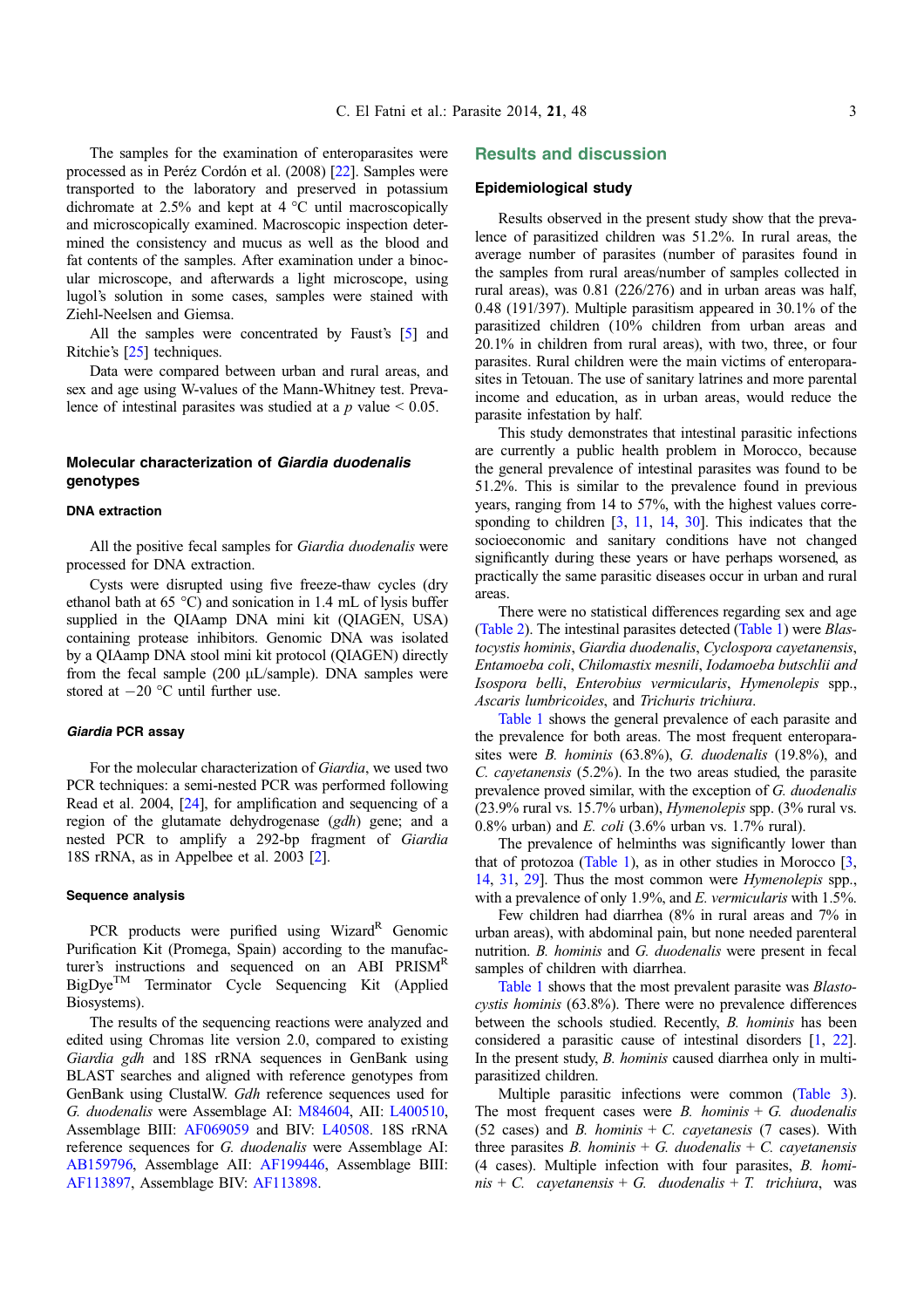The samples for the examination of enteroparasites were processed as in Peréz Cordón et al. (2008) [\[22\]](#page-5-0). Samples were transported to the laboratory and preserved in potassium dichromate at 2.5% and kept at  $4^{\circ}$ C until macroscopically and microscopically examined. Macroscopic inspection determined the consistency and mucus as well as the blood and fat contents of the samples. After examination under a binocular microscope, and afterwards a light microscope, using lugol's solution in some cases, samples were stained with Ziehl-Neelsen and Giemsa.

All the samples were concentrated by Faust's [[5\]](#page-5-0) and Ritchie's [[25](#page-6-0)] techniques.

Data were compared between urban and rural areas, and sex and age using W-values of the Mann-Whitney test. Prevalence of intestinal parasites was studied at a  $p$  value  $\leq 0.05$ .

## Molecular characterization of Giardia duodenalis genotypes

#### DNA extraction

All the positive fecal samples for Giardia duodenalis were processed for DNA extraction.

Cysts were disrupted using five freeze-thaw cycles (dry ethanol bath at  $65 \text{ °C}$ ) and sonication in 1.4 mL of lysis buffer supplied in the QIAamp DNA mini kit (QIAGEN, USA) containing protease inhibitors. Genomic DNA was isolated by a QIAamp DNA stool mini kit protocol (QIAGEN) directly from the fecal sample  $(200 \mu L/sample)$ . DNA samples were stored at  $-20$  °C until further use.

#### Giardia PCR assay

For the molecular characterization of Giardia, we used two PCR techniques: a semi-nested PCR was performed following Read et al. 2004, [\[24\]](#page-6-0), for amplification and sequencing of a region of the glutamate dehydrogenase (gdh) gene; and a nested PCR to amplify a 292-bp fragment of Giardia 18S rRNA, as in Appelbee et al. 2003 [[2\]](#page-5-0).

#### Sequence analysis

PCR products were purified using Wizard<sup>R</sup> Genomic Purification Kit (Promega, Spain) according to the manufacturer's instructions and sequenced on an ABI PRISM<sup>R</sup>  $BigDye^{TM}$  Terminator Cycle Sequencing Kit (Applied Biosystems).

The results of the sequencing reactions were analyzed and edited using Chromas lite version 2.0, compared to existing Giardia gdh and 18S rRNA sequences in GenBank using BLAST searches and aligned with reference genotypes from GenBank using ClustalW. Gdh reference sequences used for G. duodenalis were Assemblage AI: [M84604](http://www.ncbi.nlm.nih.gov/nuccore/M84604), AII: [L400510](http://www.ncbi.nlm.nih.gov/nuccore/L400510), Assemblage BIII: [AF069059](http://www.ncbi.nlm.nih.gov/nuccore/AF069059) and BIV: [L40508](http://www.ncbi.nlm.nih.gov/nuccore/L40508). 18S rRNA reference sequences for G. duodenalis were Assemblage AI: [AB159796](http://www.ncbi.nlm.nih.gov/nuccore/AB159796), Assemblage AII: [AF199446](http://www.ncbi.nlm.nih.gov/nuccore/AF199446), Assemblage BIII: [AF113897](http://www.ncbi.nlm.nih.gov/nuccore/AF113897), Assemblage BIV: [AF113898.](http://www.ncbi.nlm.nih.gov/nuccore/AF113898)

## Results and discussion

### Epidemiological study

Results observed in the present study show that the prevalence of parasitized children was 51.2%. In rural areas, the average number of parasites (number of parasites found in the samples from rural areas/number of samples collected in rural areas), was 0.81 (226/276) and in urban areas was half, 0.48 (191/397). Multiple parasitism appeared in 30.1% of the parasitized children (10% children from urban areas and 20.1% in children from rural areas), with two, three, or four parasites. Rural children were the main victims of enteroparasites in Tetouan. The use of sanitary latrines and more parental income and education, as in urban areas, would reduce the parasite infestation by half.

This study demonstrates that intestinal parasitic infections are currently a public health problem in Morocco, because the general prevalence of intestinal parasites was found to be 51.2%. This is similar to the prevalence found in previous years, ranging from 14 to 57%, with the highest values corre-sponding to children [\[3](#page-5-0), [11,](#page-5-0) [14,](#page-5-0) [30](#page-6-0)]. This indicates that the socioeconomic and sanitary conditions have not changed significantly during these years or have perhaps worsened, as practically the same parasitic diseases occur in urban and rural areas.

There were no statistical differences regarding sex and age [\(Table 2\)](#page-3-0). The intestinal parasites detected [\(Table 1\)](#page-3-0) were Blastocystis hominis, Giardia duodenalis, Cyclospora cayetanensis, Entamoeba coli, Chilomastix mesnili, Iodamoeba butschlii and Isospora belli, Enterobius vermicularis, Hymenolepis spp., Ascaris lumbricoides, and Trichuris trichiura.

[Table 1](#page-3-0) shows the general prevalence of each parasite and the prevalence for both areas. The most frequent enteroparasites were B. hominis (63.8%), G. duodenalis (19.8%), and C. cayetanensis (5.2%). In the two areas studied, the parasite prevalence proved similar, with the exception of G. duodenalis (23.9% rural vs. 15.7% urban), Hymenolepis spp. (3% rural vs. 0.8% urban) and *E. coli* (3.6% urban vs. 1.7% rural).

The prevalence of helminths was significantly lower than that of protozoa [\(Table 1\)](#page-3-0), as in other studies in Morocco  $[3, 3]$  $[3, 3]$  $[3, 3]$ [14](#page-5-0), [31](#page-6-0), [29](#page-6-0)]. Thus the most common were Hymenolepis spp., with a prevalence of only 1.9%, and E. vermicularis with 1.5%.

Few children had diarrhea (8% in rural areas and 7% in urban areas), with abdominal pain, but none needed parenteral nutrition. B. hominis and G. duodenalis were present in fecal samples of children with diarrhea.

[Table 1](#page-3-0) shows that the most prevalent parasite was Blastocystis hominis (63.8%). There were no prevalence differences between the schools studied. Recently, B. hominis has been considered a parasitic cause of intestinal disorders [\[1](#page-5-0), [22](#page-5-0)]. In the present study, B. hominis caused diarrhea only in multiparasitized children.

Multiple parasitic infections were common ([Table 3](#page-4-0)). The most frequent cases were B. hominis  $+$  G. duodenalis (52 cases) and B. hominis  $+ C$ . cayetanesis (7 cases). With three parasites B. hominis  $+ G$ . duodenalis  $+ C$ . cayetanensis (4 cases). Multiple infection with four parasites, B. hominis + C. cayetanensis + G. duodenalis + T. trichiura, was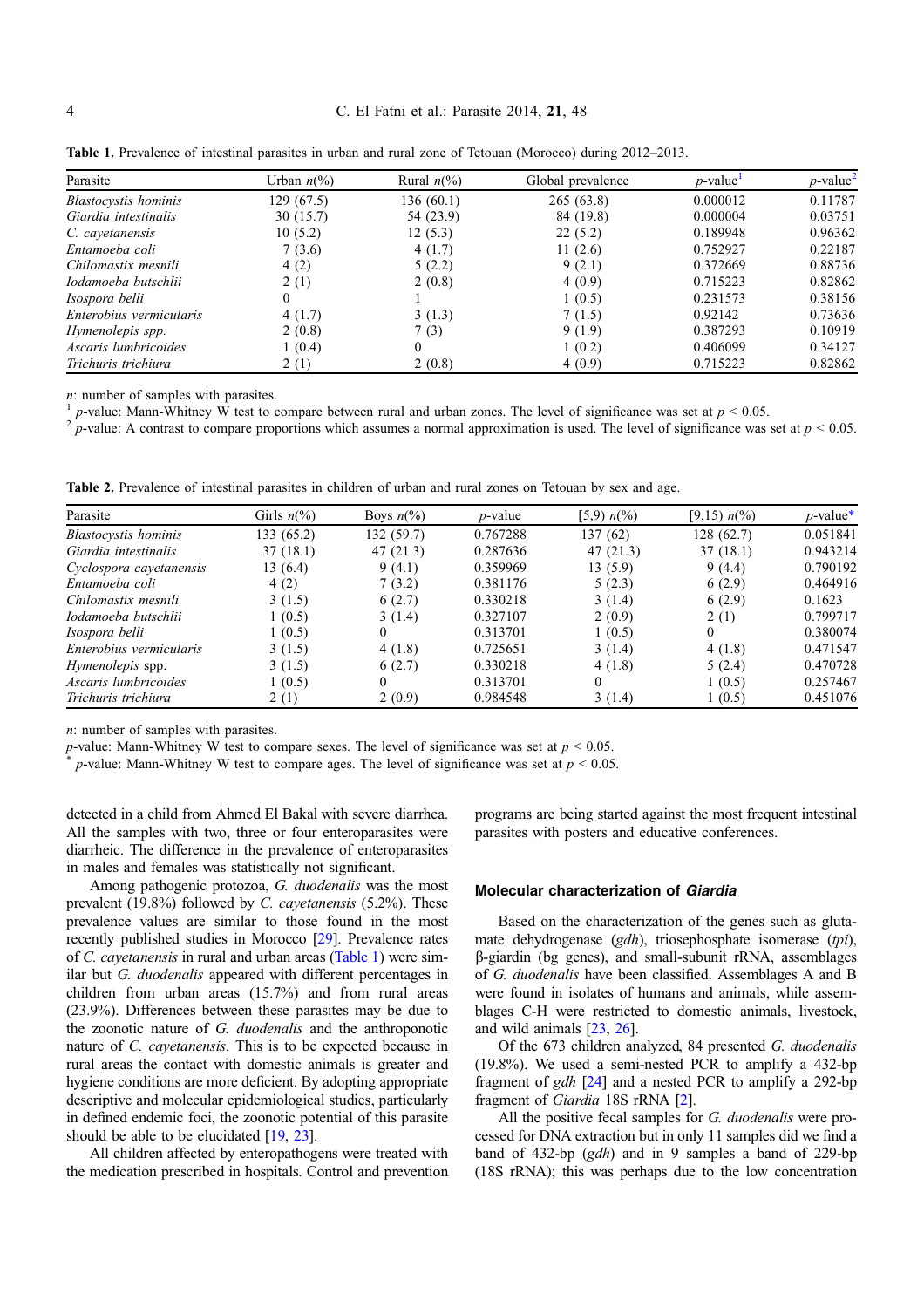#### <span id="page-3-0"></span>4 C. El Fatni et al.: Parasite 2014, 21, 48

| Parasite                    | Urban $n\frac{6}{6}$ | Rural $n\llap{$}^{\prime\prime}\!\!\!\!\!\!$ (%) | Global prevalence | $p$ -value <sup>1</sup> | $p$ -value <sup>2</sup> |
|-----------------------------|----------------------|--------------------------------------------------|-------------------|-------------------------|-------------------------|
| <b>Blastocystis</b> hominis | 129 (67.5)           | 136(60.1)                                        | 265(63.8)         | 0.000012                | 0.11787                 |
| Giardia intestinalis        | 30(15.7)             | 54 (23.9)                                        | 84 (19.8)         | 0.000004                | 0.03751                 |
| C. cayetanensis             | 10(5.2)              | 12(5.3)                                          | 22(5.2)           | 0.189948                | 0.96362                 |
| Entamoeba coli              | 7(3.6)               | 4(1.7)                                           | 11(2.6)           | 0.752927                | 0.22187                 |
| Chilomastix mesnili         | 4(2)                 | 5(2.2)                                           | 9(2.1)            | 0.372669                | 0.88736                 |
| Iodamoeba butschlii         | 2(1)                 | 2(0.8)                                           | 4(0.9)            | 0.715223                | 0.82862                 |
| Isospora belli              | $\Omega$             |                                                  | 1(0.5)            | 0.231573                | 0.38156                 |
| Enterobius vermicularis     | 4(1.7)               | 3(1.3)                                           | 7(1.5)            | 0.92142                 | 0.73636                 |
| Hymenolepis spp.            | 2(0.8)               | 7(3)                                             | 9(1.9)            | 0.387293                | 0.10919                 |
| Ascaris lumbricoides        | 1(0.4)               | $\theta$                                         | 1(0.2)            | 0.406099                | 0.34127                 |
| Trichuris trichiura         | 2(1)                 | 2(0.8)                                           | 4(0.9)            | 0.715223                | 0.82862                 |

Table 1. Prevalence of intestinal parasites in urban and rural zone of Tetouan (Morocco) during 2012–2013.

*n*: number of samples with parasites.<br><sup>1</sup> *p*-value: Mann-Whitney W test to compare between rural and urban zones. The level of significance was set at  $p < 0.05$ .

p-value: A contrast to compare proportions which assumes a normal approximation is used. The level of significance was set at  $p < 0.05$ .

Table 2. Prevalence of intestinal parasites in children of urban and rural zones on Tetouan by sex and age.

| Parasite                    | Girls $n\frac{6}{6}$ | Boys $n\frac{6}{6}$ | <i>p</i> -value | [5,9) $n\frac{6}{6}$ | [9,15) $n\binom{0}{0}$ | $p$ -value* |
|-----------------------------|----------------------|---------------------|-----------------|----------------------|------------------------|-------------|
| <b>Blastocystis</b> hominis | 133(65.2)            | 132 (59.7)          | 0.767288        | 137(62)              | 128(62.7)              | 0.051841    |
| Giardia intestinalis        | 37(18.1)             | 47(21.3)            | 0.287636        | 47(21.3)             | 37(18.1)               | 0.943214    |
| Cyclospora cayetanensis     | 13 (6.4)             | 9(4.1)              | 0.359969        | 13(5.9)              | 9(4.4)                 | 0.790192    |
| Entamoeba coli              | 4(2)                 | 7(3.2)              | 0.381176        | 5(2.3)               | 6(2.9)                 | 0.464916    |
| Chilomastix mesnili         | 3(1.5)               | 6(2.7)              | 0.330218        | 3(1.4)               | 6(2.9)                 | 0.1623      |
| Iodamoeba butschlii         | 1(0.5)               | 3(1.4)              | 0.327107        | 2(0.9)               | 2(1)                   | 0.799717    |
| Isospora belli              | 1(0.5)               | 0                   | 0.313701        | 1(0.5)               | $\Omega$               | 0.380074    |
| Enterobius vermicularis     | 3(1.5)               | 4(1.8)              | 0.725651        | 3(1.4)               | 4(1.8)                 | 0.471547    |
| <i>Hymenolepis</i> spp.     | 3(1.5)               | 6(2.7)              | 0.330218        | 4(1.8)               | 5(2.4)                 | 0.470728    |
| Ascaris lumbricoides        | 1(0.5)               | 0                   | 0.313701        | $\theta$             | 1(0.5)                 | 0.257467    |
| Trichuris trichiura         | 2(1)                 | 2(0.9)              | 0.984548        | 3(1.4)               | 1(0.5)                 | 0.451076    |

n: number of samples with parasites.

p-value: Mann-Whitney W test to compare sexes. The level of significance was set at  $p < 0.05$ .

p-value: Mann-Whitney W test to compare ages. The level of significance was set at  $p < 0.05$ .

detected in a child from Ahmed El Bakal with severe diarrhea. All the samples with two, three or four enteroparasites were diarrheic. The difference in the prevalence of enteroparasites in males and females was statistically not significant.

Among pathogenic protozoa, G. duodenalis was the most prevalent (19.8%) followed by C. cayetanensis (5.2%). These prevalence values are similar to those found in the most recently published studies in Morocco [\[29\]](#page-6-0). Prevalence rates of C. cayetanensis in rural and urban areas (Table 1) were similar but G. duodenalis appeared with different percentages in children from urban areas (15.7%) and from rural areas (23.9%). Differences between these parasites may be due to the zoonotic nature of G. duodenalis and the anthroponotic nature of C. cayetanensis. This is to be expected because in rural areas the contact with domestic animals is greater and hygiene conditions are more deficient. By adopting appropriate descriptive and molecular epidemiological studies, particularly in defined endemic foci, the zoonotic potential of this parasite should be able to be elucidated [\[19,](#page-5-0) [23](#page-6-0)].

All children affected by enteropathogens were treated with the medication prescribed in hospitals. Control and prevention programs are being started against the most frequent intestinal parasites with posters and educative conferences.

#### Molecular characterization of Giardia

Based on the characterization of the genes such as glutamate dehydrogenase (gdh), triosephosphate isomerase (tpi), b-giardin (bg genes), and small-subunit rRNA, assemblages of G. duodenalis have been classified. Assemblages A and B were found in isolates of humans and animals, while assemblages C-H were restricted to domestic animals, livestock, and wild animals [\[23](#page-6-0), [26](#page-6-0)].

Of the 673 children analyzed, 84 presented G. duodenalis (19.8%). We used a semi-nested PCR to amplify a 432-bp fragment of  $gdh$  [[24](#page-6-0)] and a nested PCR to amplify a 292-bp fragment of Giardia 18S rRNA [\[2](#page-5-0)].

All the positive fecal samples for G. duodenalis were processed for DNA extraction but in only 11 samples did we find a band of 432-bp (gdh) and in 9 samples a band of 229-bp (18S rRNA); this was perhaps due to the low concentration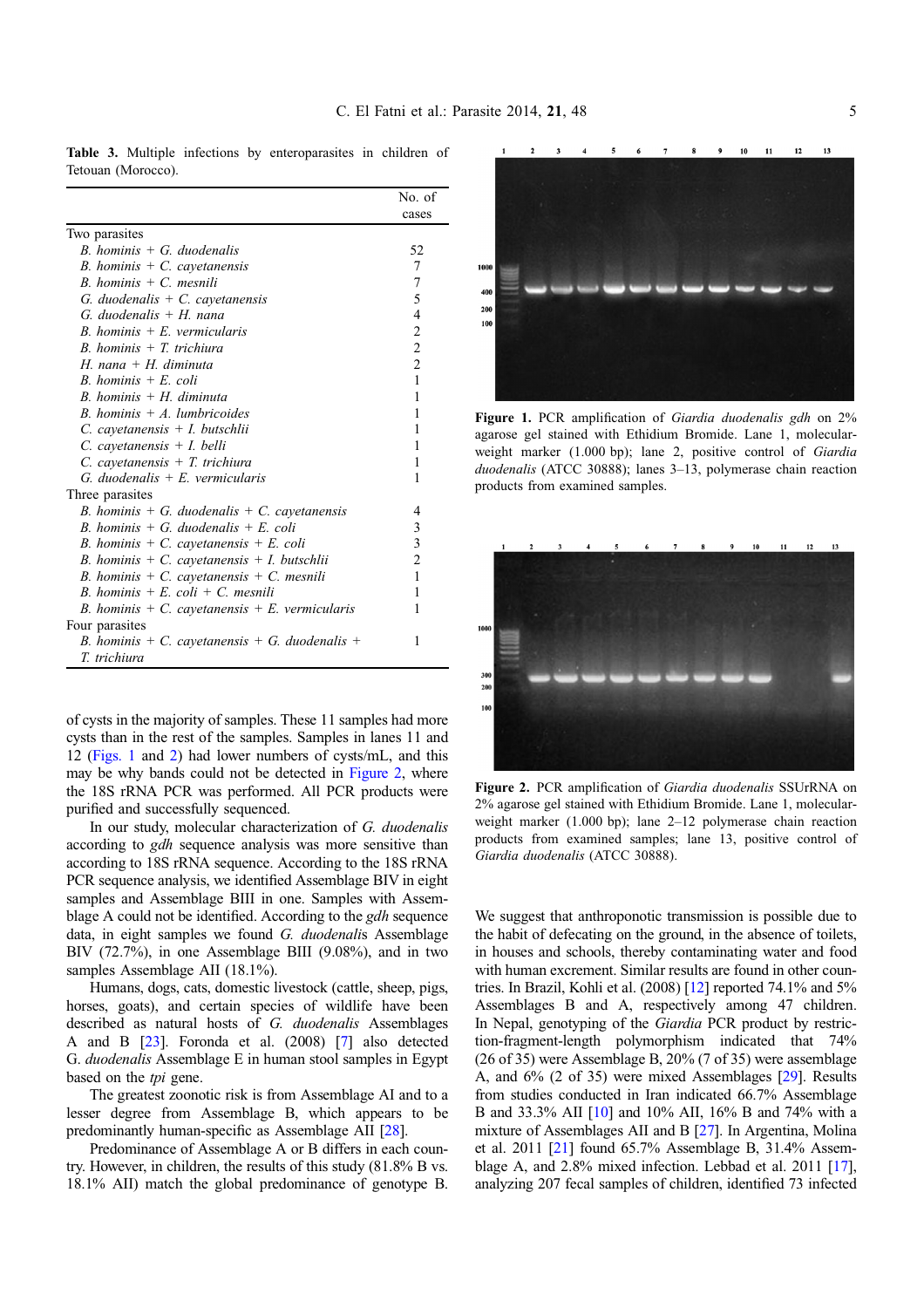|                                                | No. of         |
|------------------------------------------------|----------------|
|                                                | cases          |
| Two parasites                                  |                |
| $B.$ hominis + G. duodenalis                   | 52             |
| B. hominis $+ C$ . cay etanensis               | 7              |
| $B.$ hominis + C. mesnili                      | 7              |
| G. duodenalis $+ C$ . cavetanensis             | 5              |
| G. duodenalis + $H$ . nana                     | $\overline{4}$ |
| $R$ hominis $+ E$ vermicularis                 | 2              |
| $B.$ hominis $+T.$ trichiura                   | $\sqrt{2}$     |
| H. nana + H. diminuta                          | $\overline{2}$ |
| $R$ hominis + $E$ coli                         | $\mathbf{1}$   |
| $R$ hominis + H diminuta                       | 1              |
| $R$ hominis $+$ A lumbricoides                 | 1              |
| $C.$ cayetanensis + I. butschlii               | 1              |
| $C.$ cayetanensis $+ I.$ belli                 | 1              |
| $C.$ cavetanensis $+T.$ trichiura              | 1              |
| $G.$ duodenalis + E. vermicularis              | 1              |
| Three parasites                                |                |
| B. hominis + G. duodenalis + C. cayetanensis   | 4              |
| B. hominis + G. duodenalis + E. coli           | 3              |
| B. hominis + C. cayetanensis + E. coli         | 3              |
| B. hominis + C. cayetanensis + I. butschlii    | $\overline{2}$ |
| B. hominis + C. cayetanensis + C. mesnili      | 1              |
| B. hominis + E. coli + C. mesnili              | 1              |
| B. hominis + C. cayetanensis + E. vermicularis | 1              |
| Four parasites                                 |                |
| B. hominis + C. cayetanensis + G. duodenalis + | 1              |
| T. trichiura                                   |                |

<span id="page-4-0"></span>Table 3. Multiple infections by enteroparasites in children of Tetouan (Morocco).

of cysts in the majority of samples. These 11 samples had more cysts than in the rest of the samples. Samples in lanes 11 and 12 (Figs. 1 and 2) had lower numbers of cysts/mL, and this may be why bands could not be detected in Figure 2, where the 18S rRNA PCR was performed. All PCR products were purified and successfully sequenced.

In our study, molecular characterization of G. duodenalis according to *gdh* sequence analysis was more sensitive than according to 18S rRNA sequence. According to the 18S rRNA PCR sequence analysis, we identified Assemblage BIV in eight samples and Assemblage BIII in one. Samples with Assemblage A could not be identified. According to the gdh sequence data, in eight samples we found G. duodenalis Assemblage BIV (72.7%), in one Assemblage BIII (9.08%), and in two samples Assemblage AII (18.1%).

Humans, dogs, cats, domestic livestock (cattle, sheep, pigs, horses, goats), and certain species of wildlife have been described as natural hosts of G. duodenalis Assemblages A and B [\[23\]](#page-6-0). Foronda et al. (2008) [\[7](#page-5-0)] also detected G. duodenalis Assemblage E in human stool samples in Egypt based on the tpi gene.

The greatest zoonotic risk is from Assemblage AI and to a lesser degree from Assemblage B, which appears to be predominantly human-specific as Assemblage AII [[28](#page-6-0)].

Predominance of Assemblage A or B differs in each country. However, in children, the results of this study (81.8% B vs. 18.1% AII) match the global predominance of genotype B.

 $\overline{11}$  $\frac{1}{2}$  $13$  $10$ 100  $200$ 100

Figure 1. PCR amplification of *Giardia duodenalis gdh* on 2% agarose gel stained with Ethidium Bromide. Lane 1, molecularweight marker (1.000 bp); lane 2, positive control of Giardia duodenalis (ATCC 30888); lanes 3–13, polymerase chain reaction products from examined samples.



Figure 2. PCR amplification of Giardia duodenalis SSUrRNA on 2% agarose gel stained with Ethidium Bromide. Lane 1, molecularweight marker (1.000 bp); lane 2–12 polymerase chain reaction products from examined samples; lane 13, positive control of Giardia duodenalis (ATCC 30888).

We suggest that anthroponotic transmission is possible due to the habit of defecating on the ground, in the absence of toilets, in houses and schools, thereby contaminating water and food with human excrement. Similar results are found in other countries. In Brazil, Kohli et al. (2008) [\[12](#page-5-0)] reported 74.1% and 5% Assemblages B and A, respectively among 47 children. In Nepal, genotyping of the Giardia PCR product by restriction-fragment-length polymorphism indicated that 74% (26 of 35) were Assemblage B, 20% (7 of 35) were assemblage A, and 6% (2 of 35) were mixed Assemblages [\[29\]](#page-6-0). Results from studies conducted in Iran indicated 66.7% Assemblage B and 33.3% AII [[10](#page-5-0)] and 10% AII, 16% B and 74% with a mixture of Assemblages AII and B [[27](#page-6-0)]. In Argentina, Molina et al. 2011 [\[21\]](#page-5-0) found 65.7% Assemblage B, 31.4% Assemblage A, and 2.8% mixed infection. Lebbad et al. 2011 [[17](#page-5-0)], analyzing 207 fecal samples of children, identified 73 infected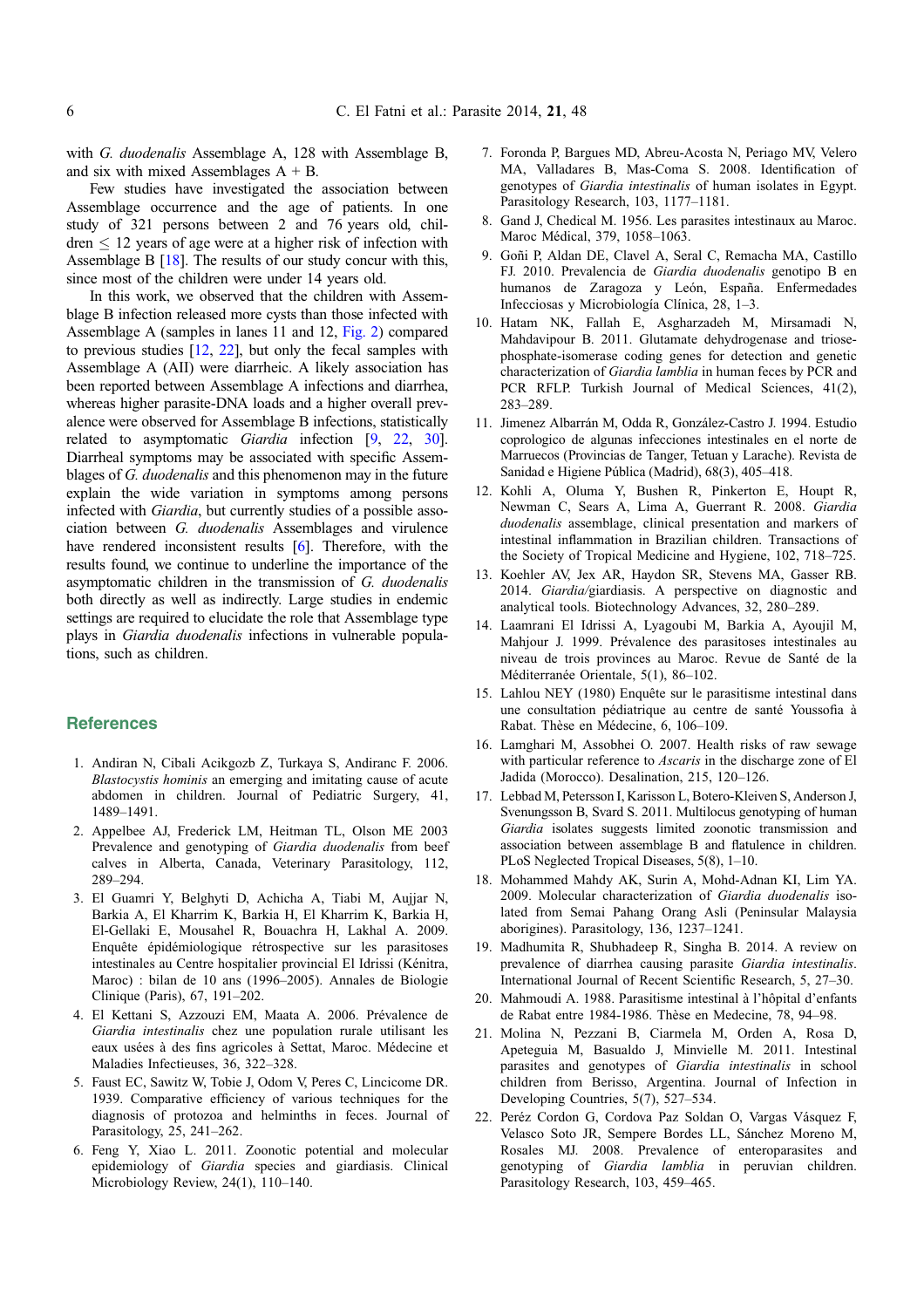<span id="page-5-0"></span>with G. duodenalis Assemblage A, 128 with Assemblage B, and six with mixed Assemblages  $A + B$ .

Few studies have investigated the association between Assemblage occurrence and the age of patients. In one study of 321 persons between 2 and 76 years old, children  $\leq 12$  years of age were at a higher risk of infection with Assemblage B [18]. The results of our study concur with this, since most of the children were under 14 years old.

In this work, we observed that the children with Assemblage B infection released more cysts than those infected with Assemblage A (samples in lanes 11 and 12, [Fig. 2\)](#page-4-0) compared to previous studies [12, 22], but only the fecal samples with Assemblage A (AII) were diarrheic. A likely association has been reported between Assemblage A infections and diarrhea, whereas higher parasite-DNA loads and a higher overall prevalence were observed for Assemblage B infections, statistically related to asymptomatic *Giardia* infection [9, 22, [30](#page-6-0)]. Diarrheal symptoms may be associated with specific Assemblages of G. duodenalis and this phenomenon may in the future explain the wide variation in symptoms among persons infected with Giardia, but currently studies of a possible association between G. duodenalis Assemblages and virulence have rendered inconsistent results [6]. Therefore, with the results found, we continue to underline the importance of the asymptomatic children in the transmission of G. duodenalis both directly as well as indirectly. Large studies in endemic settings are required to elucidate the role that Assemblage type plays in Giardia duodenalis infections in vulnerable populations, such as children.

## **References**

- 1. Andiran N, Cibali Acikgozb Z, Turkaya S, Andiranc F. 2006. Blastocystis hominis an emerging and imitating cause of acute abdomen in children. Journal of Pediatric Surgery, 41, 1489–1491.
- 2. Appelbee AJ, Frederick LM, Heitman TL, Olson ME 2003 Prevalence and genotyping of Giardia duodenalis from beef calves in Alberta, Canada, Veterinary Parasitology, 112, 289–294.
- 3. El Guamri Y, Belghyti D, Achicha A, Tiabi M, Aujjar N, Barkia A, El Kharrim K, Barkia H, El Kharrim K, Barkia H, El-Gellaki E, Mousahel R, Bouachra H, Lakhal A. 2009. Enquête épidémiologique rétrospective sur les parasitoses intestinales au Centre hospitalier provincial El Idrissi (Kénitra, Maroc) : bilan de 10 ans (1996–2005). Annales de Biologie Clinique (Paris), 67, 191–202.
- 4. El Kettani S, Azzouzi EM, Maata A. 2006. Prévalence de Giardia intestinalis chez une population rurale utilisant les eaux usées à des fins agricoles à Settat, Maroc. Médecine et Maladies Infectieuses, 36, 322–328.
- 5. Faust EC, Sawitz W, Tobie J, Odom V, Peres C, Lincicome DR. 1939. Comparative efficiency of various techniques for the diagnosis of protozoa and helminths in feces. Journal of Parasitology, 25, 241–262.
- 6. Feng Y, Xiao L. 2011. Zoonotic potential and molecular epidemiology of Giardia species and giardiasis. Clinical Microbiology Review, 24(1), 110–140.
- 7. Foronda P, Bargues MD, Abreu-Acosta N, Periago MV, Velero MA, Valladares B, Mas-Coma S. 2008. Identification of genotypes of Giardia intestinalis of human isolates in Egypt. Parasitology Research, 103, 1177–1181.
- 8. Gand J, Chedical M. 1956. Les parasites intestinaux au Maroc. Maroc Médical, 379, 1058–1063.
- 9. Goñi P, Aldan DE, Clavel A, Seral C, Remacha MA, Castillo FJ. 2010. Prevalencia de Giardia duodenalis genotipo B en humanos de Zaragoza y León, España. Enfermedades Infecciosas y Microbiología Clínica, 28, 1–3.
- 10. Hatam NK, Fallah E, Asgharzadeh M, Mirsamadi N, Mahdavipour B. 2011. Glutamate dehydrogenase and triosephosphate-isomerase coding genes for detection and genetic characterization of Giardia lamblia in human feces by PCR and PCR RFLP. Turkish Journal of Medical Sciences, 41(2), 283–289.
- 11. Jimenez Albarrán M, Odda R, González-Castro J. 1994. Estudio coprologico de algunas infecciones intestinales en el norte de Marruecos (Provincias de Tanger, Tetuan y Larache). Revista de Sanidad e Higiene Pública (Madrid), 68(3), 405–418.
- 12. Kohli A, Oluma Y, Bushen R, Pinkerton E, Houpt R, Newman C, Sears A, Lima A, Guerrant R. 2008. Giardia duodenalis assemblage, clinical presentation and markers of intestinal inflammation in Brazilian children. Transactions of the Society of Tropical Medicine and Hygiene, 102, 718–725.
- 13. Koehler AV, Jex AR, Haydon SR, Stevens MA, Gasser RB. 2014. Giardia/giardiasis. A perspective on diagnostic and analytical tools. Biotechnology Advances, 32, 280–289.
- 14. Laamrani El Idrissi A, Lyagoubi M, Barkia A, Ayoujil M, Mahjour J. 1999. Prévalence des parasitoses intestinales au niveau de trois provinces au Maroc. Revue de Santé de la Méditerranée Orientale, 5(1), 86–102.
- 15. Lahlou NEY (1980) Enquête sur le parasitisme intestinal dans une consultation pédiatrique au centre de santé Youssofia à Rabat. Thèse en Médecine, 6, 106–109.
- 16. Lamghari M, Assobhei O. 2007. Health risks of raw sewage with particular reference to Ascaris in the discharge zone of El Jadida (Morocco). Desalination, 215, 120–126.
- 17. Lebbad M, Petersson I, Karisson L, Botero-Kleiven S, Anderson J, Svenungsson B, Svard S. 2011. Multilocus genotyping of human Giardia isolates suggests limited zoonotic transmission and association between assemblage B and flatulence in children. PLoS Neglected Tropical Diseases, 5(8), 1–10.
- 18. Mohammed Mahdy AK, Surin A, Mohd-Adnan KI, Lim YA. 2009. Molecular characterization of Giardia duodenalis isolated from Semai Pahang Orang Asli (Peninsular Malaysia aborigines). Parasitology, 136, 1237–1241.
- 19. Madhumita R, Shubhadeep R, Singha B. 2014. A review on prevalence of diarrhea causing parasite Giardia intestinalis. International Journal of Recent Scientific Research, 5, 27–30.
- 20. Mahmoudi A. 1988. Parasitisme intestinal à l'hôpital d'enfants de Rabat entre 1984-1986. Thèse en Medecine, 78, 94–98.
- 21. Molina N, Pezzani B, Ciarmela M, Orden A, Rosa D, Apeteguia M, Basualdo J, Minvielle M. 2011. Intestinal parasites and genotypes of Giardia intestinalis in school children from Berisso, Argentina. Journal of Infection in Developing Countries, 5(7), 527–534.
- 22. Peréz Cordon G, Cordova Paz Soldan O, Vargas Vásquez F, Velasco Soto JR, Sempere Bordes LL, Sánchez Moreno M, Rosales MJ. 2008. Prevalence of enteroparasites and genotyping of Giardia lamblia in peruvian children. Parasitology Research, 103, 459–465.